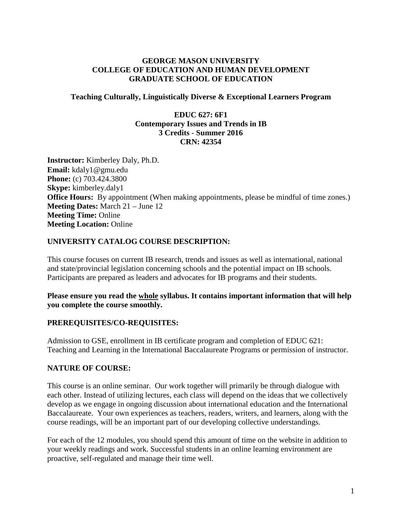## **GEORGE MASON UNIVERSITY COLLEGE OF EDUCATION AND HUMAN DEVELOPMENT GRADUATE SCHOOL OF EDUCATION**

#### **Teaching Culturally, Linguistically Diverse & Exceptional Learners Program**

#### **EDUC 627: 6F1 Contemporary Issues and Trends in IB 3 Credits - Summer 2016 CRN: 42354**

**Instructor:** Kimberley Daly, Ph.D. **Email:** kdaly1@gmu.edu **Phone:** (c) 703.424.3800 **Skype:** kimberley.daly1 **Office Hours:** By appointment (When making appointments, please be mindful of time zones.) **Meeting Dates:** March 21 – June 12 **Meeting Time:** Online **Meeting Location:** Online

#### **UNIVERSITY CATALOG COURSE DESCRIPTION:**

This course focuses on current IB research, trends and issues as well as international, national and state/provincial legislation concerning schools and the potential impact on IB schools. Participants are prepared as leaders and advocates for IB programs and their students.

**Please ensure you read the whole syllabus. It contains important information that will help you complete the course smoothly.**

#### **PREREQUISITES/CO-REQUISITES:**

Admission to GSE, enrollment in IB certificate program and completion of EDUC 621: Teaching and Learning in the International Baccalaureate Programs or permission of instructor.

#### **NATURE OF COURSE:**

This course is an online seminar. Our work together will primarily be through dialogue with each other. Instead of utilizing lectures, each class will depend on the ideas that we collectively develop as we engage in ongoing discussion about international education and the International Baccalaureate. Your own experiences as teachers, readers, writers, and learners, along with the course readings, will be an important part of our developing collective understandings.

For each of the 12 modules, you should spend this amount of time on the website in addition to your weekly readings and work. Successful students in an online learning environment are proactive, self-regulated and manage their time well.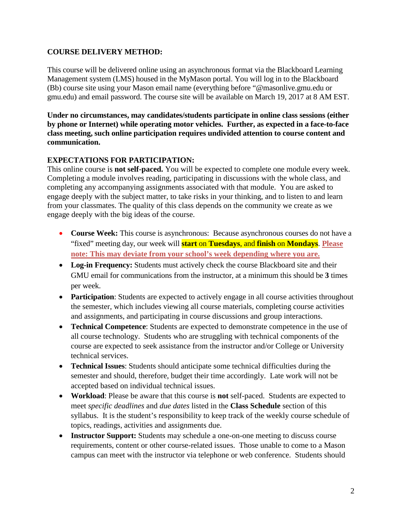## **COURSE DELIVERY METHOD:**

This course will be delivered online using an asynchronous format via the Blackboard Learning Management system (LMS) housed in the MyMason portal. You will log in to the Blackboard (Bb) course site using your Mason email name (everything before "@masonlive.gmu.edu or gmu.edu) and email password. The course site will be available on March 19, 2017 at 8 AM EST.

**Under no circumstances, may candidates/students participate in online class sessions (either by phone or Internet) while operating motor vehicles. Further, as expected in a face-to-face class meeting, such online participation requires undivided attention to course content and communication.**

# **EXPECTATIONS FOR PARTICIPATION:**

This online course is **not self-paced.** You will be expected to complete one module every week. Completing a module involves reading, participating in discussions with the whole class, and completing any accompanying assignments associated with that module. You are asked to engage deeply with the subject matter, to take risks in your thinking, and to listen to and learn from your classmates. The quality of this class depends on the community we create as we engage deeply with the big ideas of the course.

- **Course Week:** This course is asynchronous: Because asynchronous courses do not have a "fixed" meeting day, our week will **start** on **Tuesdays**, and **finish** on **Mondays**. **Please note: This may deviate from your school's week depending where you are.**
- Log-in Frequency: Students must actively check the course Blackboard site and their GMU email for communications from the instructor, at a minimum this should be **3** times per week.
- **Participation**: Students are expected to actively engage in all course activities throughout the semester, which includes viewing all course materials, completing course activities and assignments, and participating in course discussions and group interactions.
- **Technical Competence**: Students are expected to demonstrate competence in the use of all course technology. Students who are struggling with technical components of the course are expected to seek assistance from the instructor and/or College or University technical services.
- **Technical Issues**: Students should anticipate some technical difficulties during the semester and should, therefore, budget their time accordingly. Late work will not be accepted based on individual technical issues.
- **Workload**: Please be aware that this course is **not** self-paced. Students are expected to meet *specific deadlines* and *due dates* listed in the **Class Schedule** section of this syllabus. It is the student's responsibility to keep track of the weekly course schedule of topics, readings, activities and assignments due.
- **Instructor Support:** Students may schedule a one-on-one meeting to discuss course requirements, content or other course-related issues. Those unable to come to a Mason campus can meet with the instructor via telephone or web conference. Students should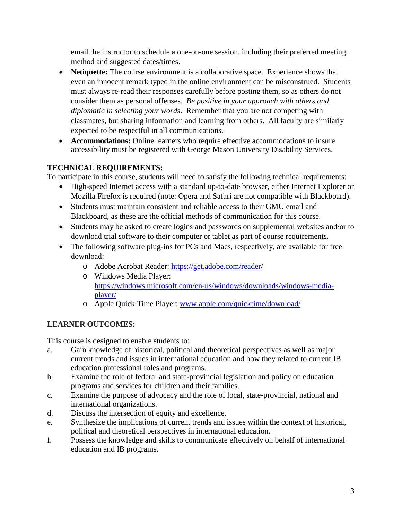email the instructor to schedule a one-on-one session, including their preferred meeting method and suggested dates/times.

- **Netiquette:** The course environment is a collaborative space. Experience shows that even an innocent remark typed in the online environment can be misconstrued. Students must always re-read their responses carefully before posting them, so as others do not consider them as personal offenses. *Be positive in your approach with others and diplomatic in selecting your words*. Remember that you are not competing with classmates, but sharing information and learning from others. All faculty are similarly expected to be respectful in all communications.
- **Accommodations:** Online learners who require effective accommodations to insure accessibility must be registered with George Mason University Disability Services.

# **TECHNICAL REQUIREMENTS:**

To participate in this course, students will need to satisfy the following technical requirements:

- High-speed Internet access with a standard up-to-date browser, either Internet Explorer or Mozilla Firefox is required (note: Opera and Safari are not compatible with Blackboard).
- Students must maintain consistent and reliable access to their GMU email and Blackboard, as these are the official methods of communication for this course.
- Students may be asked to create logins and passwords on supplemental websites and/or to download trial software to their computer or tablet as part of course requirements.
- The following software plug-ins for PCs and Macs, respectively, are available for free download:
	- o Adobe Acrobat Reader:<https://get.adobe.com/reader/>
	- o Windows Media Player: [https://windows.microsoft.com/en-us/windows/downloads/windows-media](https://windows.microsoft.com/en-us/windows/downloads/windows-media-player/)[player/](https://windows.microsoft.com/en-us/windows/downloads/windows-media-player/)
	- o Apple Quick Time Player: [www.apple.com/quicktime/download/](http://www.apple.com/quicktime/download/)

# **LEARNER OUTCOMES:**

This course is designed to enable students to:

- a. Gain knowledge of historical, political and theoretical perspectives as well as major current trends and issues in international education and how they related to current IB education professional roles and programs.
- b. Examine the role of federal and state-provincial legislation and policy on education programs and services for children and their families.
- c. Examine the purpose of advocacy and the role of local, state-provincial, national and international organizations.
- d. Discuss the intersection of equity and excellence.
- e. Synthesize the implications of current trends and issues within the context of historical, political and theoretical perspectives in international education.
- f. Possess the knowledge and skills to communicate effectively on behalf of international education and IB programs.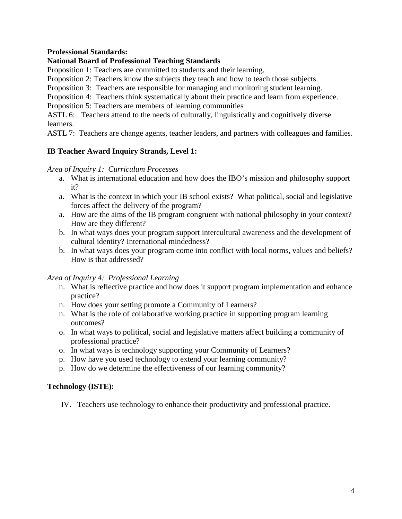## **Professional Standards:**

#### **National Board of Professional Teaching Standards**

Proposition 1: Teachers are committed to students and their learning.

Proposition 2: Teachers know the subjects they teach and how to teach those subjects.

Proposition 3: Teachers are responsible for managing and monitoring student learning.

Proposition 4: Teachers think systematically about their practice and learn from experience.

Proposition 5: Teachers are members of learning communities

ASTL 6: Teachers attend to the needs of culturally, linguistically and cognitively diverse learners.

ASTL 7: Teachers are change agents, teacher leaders, and partners with colleagues and families.

## **IB Teacher Award Inquiry Strands, Level 1:**

#### *Area of Inquiry 1: Curriculum Processes*

- a. What is international education and how does the IBO's mission and philosophy support it?
- a. What is the context in which your IB school exists? What political, social and legislative forces affect the delivery of the program?
- a. How are the aims of the IB program congruent with national philosophy in your context? How are they different?
- b. In what ways does your program support intercultural awareness and the development of cultural identity? International mindedness?
- b. In what ways does your program come into conflict with local norms, values and beliefs? How is that addressed?

#### *Area of Inquiry 4: Professional Learning*

- n. What is reflective practice and how does it support program implementation and enhance practice?
- n. How does your setting promote a Community of Learners?
- n. What is the role of collaborative working practice in supporting program learning outcomes?
- o. In what ways to political, social and legislative matters affect building a community of professional practice?
- o. In what ways is technology supporting your Community of Learners?
- p. How have you used technology to extend your learning community?
- p. How do we determine the effectiveness of our learning community?

#### **Technology (ISTE):**

IV. Teachers use technology to enhance their productivity and professional practice.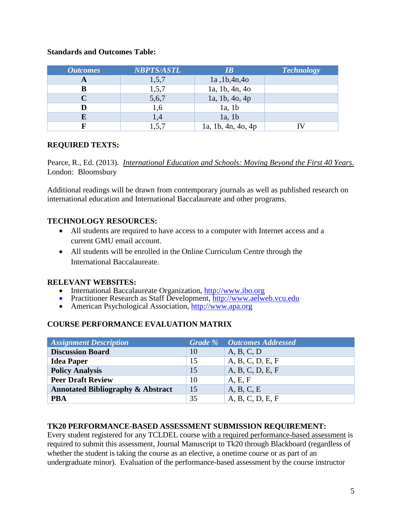## **Standards and Outcomes Table:**

| <b>Outcomes</b> | <b>NBPTS/ASTL</b> | IB                 | <b>Technology</b> |
|-----------------|-------------------|--------------------|-------------------|
|                 | 1,5,7             | 1a, 1b, 4n, 4o     |                   |
| в               | 1,5,7             | 1a, 1b, 4n, 4o     |                   |
|                 | 5,6,7             | 1a, 1b, 4o, 4p     |                   |
|                 | 1,6               | 1a, 1b             |                   |
|                 | 1,4               | 1a, 1b             |                   |
|                 | 1,5,              | 1a, 1b, 4n, 4o, 4p |                   |

## **REQUIRED TEXTS:**

Pearce, R., Ed. (2013). *International Education and Schools: Moving Beyond the First 40 Years*. London: Bloomsbury

Additional readings will be drawn from contemporary journals as well as published research on international education and International Baccalaureate and other programs.

## **TECHNOLOGY RESOURCES:**

- All students are required to have access to a computer with Internet access and a current GMU email account.
- All students will be enrolled in the Online Curriculum Centre through the International Baccalaureate.

- **RELEVANT WEBSITES:**<br>• International Baccalaureate Organization. http://www.jbo.org
	- Practitioner Research as Staff Development,  $\frac{\hat{h}ttp://www.aelweb.vcu.edu}{http://www.aelweb.vcu.edu)}$ <br>• American Psychological Association,  $\frac{http://www.apa.org}{http://www.apa.org}$
	- American Psychological Association, [http://www.apa.org](http://www.apa.org/)

## **COURSE PERFORMANCE EVALUATION MATRIX**

| <b>Assignment Description</b>                |    | <b>Grade %</b> Outcomes Addressed |
|----------------------------------------------|----|-----------------------------------|
| <b>Discussion Board</b>                      | 10 | A, B, C, D                        |
| <b>Idea Paper</b>                            | 15 | A, B, C, D, E, F                  |
| <b>Policy Analysis</b>                       | 15 | A, B, C, D, E, F                  |
| <b>Peer Draft Review</b>                     | 10 | A, E, F                           |
| <b>Annotated Bibliography &amp; Abstract</b> | 15 | A, B, C, E                        |
| <b>PBA</b>                                   | 35 | A, B, C, D, E, F                  |

#### **TK20 PERFORMANCE-BASED ASSESSMENT SUBMISSION REQUIREMENT:**

Every student registered for any TCLDEL course with a required performance-based assessment is required to submit this assessment, Journal Manuscript to Tk20 through Blackboard (regardless of whether the student is taking the course as an elective, a onetime course or as part of an undergraduate minor). Evaluation of the performance-based assessment by the course instructor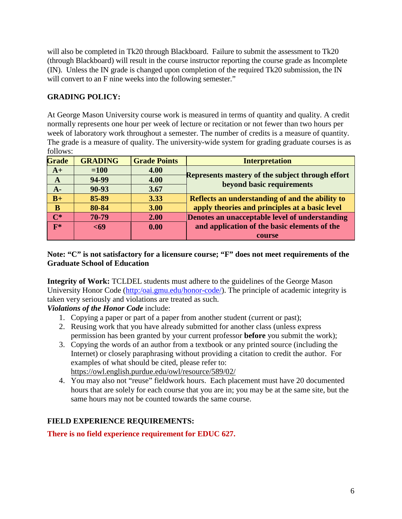will also be completed in Tk20 through Blackboard. Failure to submit the assessment to Tk20 (through Blackboard) will result in the course instructor reporting the course grade as Incomplete (IN). Unless the IN grade is changed upon completion of the required Tk20 submission, the IN will convert to an F nine weeks into the following semester."

# **GRADING POLICY:**

At George Mason University course work is measured in terms of quantity and quality. A credit normally represents one hour per week of lecture or recitation or not fewer than two hours per week of laboratory work throughout a semester. The number of credits is a measure of quantity. The grade is a measure of quality. The university-wide system for grading graduate courses is as follows:

| <b>Grade</b>   | <b>GRADING</b> | <b>Grade Points</b> | <b>Interpretation</b>                            |
|----------------|----------------|---------------------|--------------------------------------------------|
| $A+$           | $=100$         | 4.00                |                                                  |
| A              | 94-99          | 4.00                | Represents mastery of the subject through effort |
| A-             | 90-93          | 3.67                | beyond basic requirements                        |
| $B+$           | 85-89          | 3.33                | Reflects an understanding of and the ability to  |
| B              | 80-84          | 3.00                | apply theories and principles at a basic level   |
| $\mathbf{C}^*$ | 70-79          | 2.00                | Denotes an unacceptable level of understanding   |
| $F*$           | $69$           | 0.00                | and application of the basic elements of the     |
|                |                |                     | course                                           |

# **Note: "C" is not satisfactory for a licensure course; "F" does not meet requirements of the Graduate School of Education**

**Integrity of Work:** TCLDEL students must adhere to the guidelines of the George Mason University Honor Code [\(http:/oai.gmu.edu/honor-code/\)](http://oai.gmu.edu/the-mason-honor-code/). The principle of academic integrity is taken very seriously and violations are treated as such.

*Violations of the Honor Code* include:

- 1. Copying a paper or part of a paper from another student (current or past);
- 2. Reusing work that you have already submitted for another class (unless express permission has been granted by your current professor **before** you submit the work);
- 3. Copying the words of an author from a textbook or any printed source (including the Internet) or closely paraphrasing without providing a citation to credit the author. For examples of what should be cited, please refer to: <https://owl.english.purdue.edu/owl/resource/589/02/>
- 4. You may also not "reuse" fieldwork hours. Each placement must have 20 documented hours that are solely for each course that you are in; you may be at the same site, but the same hours may not be counted towards the same course.

# **FIELD EXPERIENCE REQUIREMENTS:**

# **There is no field experience requirement for EDUC 627.**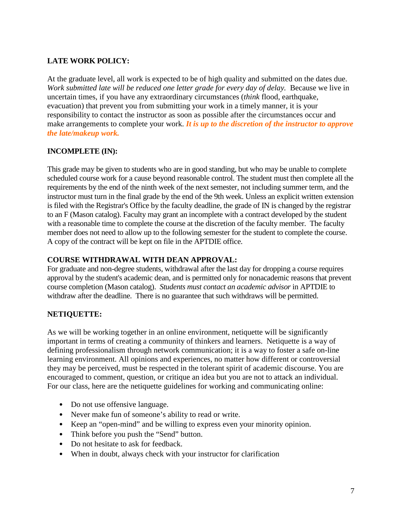# **LATE WORK POLICY:**

At the graduate level, all work is expected to be of high quality and submitted on the dates due. *Work submitted late will be reduced one letter grade for every day of delay.*Because we live in uncertain times, if you have any extraordinary circumstances (*think* flood, earthquake, evacuation) that prevent you from submitting your work in a timely manner, it is your responsibility to contact the instructor as soon as possible after the circumstances occur and make arrangements to complete your work. *It is up to the discretion of the instructor to approve the late/makeup work.*

# **INCOMPLETE (IN):**

This grade may be given to students who are in good standing, but who may be unable to complete scheduled course work for a cause beyond reasonable control. The student must then complete all the requirements by the end of the ninth week of the next semester, not including summer term, and the instructor must turn in the final grade by the end of the 9th week. Unless an explicit written extension is filed with the Registrar's Office by the faculty deadline, the grade of IN is changed by the registrar to an F (Mason catalog). Faculty may grant an incomplete with a contract developed by the student with a reasonable time to complete the course at the discretion of the faculty member. The faculty member does not need to allow up to the following semester for the student to complete the course. A copy of the contract will be kept on file in the APTDIE office.

## **COURSE WITHDRAWAL WITH DEAN APPROVAL:**

For graduate and non-degree students, withdrawal after the last day for dropping a course requires approval by the student's academic dean, and is permitted only for nonacademic reasons that prevent course completion (Mason catalog). *Students must contact an academic advisor* in APTDIE to withdraw after the deadline. There is no guarantee that such withdraws will be permitted.

## **NETIQUETTE:**

As we will be working together in an online environment, netiquette will be significantly important in terms of creating a community of thinkers and learners. Netiquette is a way of defining professionalism through network communication; it is a way to foster a safe on-line learning environment. All opinions and experiences, no matter how different or controversial they may be perceived, must be respected in the tolerant spirit of academic discourse. You are encouraged to comment, question, or critique an idea but you are not to attack an individual. For our class, here are the netiquette guidelines for working and communicating online:

- Do not use offensive language.
- Never make fun of someone's ability to read or write.
- Keep an "open-mind" and be willing to express even your minority opinion.
- Think before you push the "Send" button.
- Do not hesitate to ask for feedback.
- When in doubt, always check with your instructor for clarification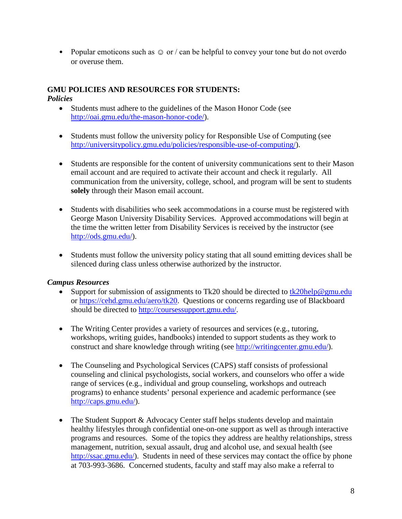• Popular emoticons such as  $\odot$  or / can be helpful to convey your tone but do not overdo or overuse them.

# **GMU POLICIES AND RESOURCES FOR STUDENTS:**

## *Policies*

- Students must adhere to the guidelines of the Mason Honor Code (see [http://oai.gmu.edu/the-mason-honor-code/\)](http://oai.gmu.edu/the-mason-honor-code/).
- Students must follow the university policy for Responsible Use of Computing (see [http://universitypolicy.gmu.edu/policies/responsible-use-of-computing/\)](http://universitypolicy.gmu.edu/policies/responsible-use-of-computing/).
- Students are responsible for the content of university communications sent to their Mason email account and are required to activate their account and check it regularly. All communication from the university, college, school, and program will be sent to students **solely** through their Mason email account.
- Students with disabilities who seek accommodations in a course must be registered with George Mason University Disability Services. Approved accommodations will begin at the time the written letter from Disability Services is received by the instructor (see [http://ods.gmu.edu/\)](http://ods.gmu.edu/).
- Students must follow the university policy stating that all sound emitting devices shall be silenced during class unless otherwise authorized by the instructor.

## *Campus Resources*

- Support for submission of assignments to Tk20 should be directed to  $tk20$ help@gmu.edu or [https://cehd.gmu.edu/aero/tk20.](https://cehd.gmu.edu/aero/tk20) Questions or concerns regarding use of Blackboard should be directed to [http://coursessupport.gmu.edu/.](http://coursessupport.gmu.edu/)
- The Writing Center provides a variety of resources and services (e.g., tutoring, workshops, writing guides, handbooks) intended to support students as they work to construct and share knowledge through writing (see [http://writingcenter.gmu.edu/\)](http://writingcenter.gmu.edu/).
- The Counseling and Psychological Services (CAPS) staff consists of professional counseling and clinical psychologists, social workers, and counselors who offer a wide range of services (e.g., individual and group counseling, workshops and outreach programs) to enhance students' personal experience and academic performance (see [http://caps.gmu.edu/\)](http://caps.gmu.edu/).
- The Student Support & Advocacy Center staff helps students develop and maintain healthy lifestyles through confidential one-on-one support as well as through interactive programs and resources. Some of the topics they address are healthy relationships, stress management, nutrition, sexual assault, drug and alcohol use, and sexual health (see [http://ssac.gmu.edu/\)](http://ssac.gmu.edu/). Students in need of these services may contact the office by phone at 703-993-3686. Concerned students, faculty and staff may also make a referral to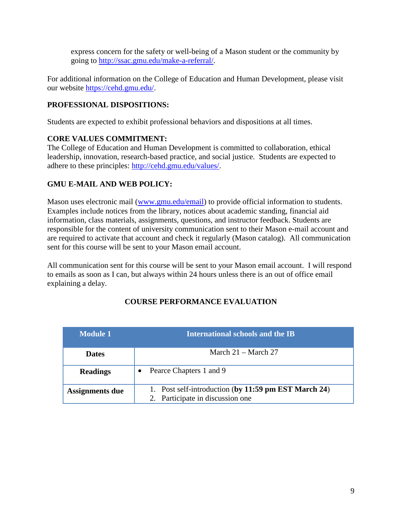express concern for the safety or well-being of a Mason student or the community by going to [http://ssac.gmu.edu/make-a-referral/.](http://ssac.gmu.edu/make-a-referral/)

For additional information on the College of Education and Human Development, please visit our website [https://cehd.gmu.edu/.](https://cehd.gmu.edu/)

# **PROFESSIONAL DISPOSITIONS:**

Students are expected to exhibit professional behaviors and dispositions at all times.

# **CORE VALUES COMMITMENT:**

The College of Education and Human Development is committed to collaboration, ethical leadership, innovation, research-based practice, and social justice. Students are expected to adhere to these principles: [http://cehd.gmu.edu/values/.](http://cehd.gmu.edu/values/)

# **GMU E-MAIL AND WEB POLICY:**

Mason uses electronic mail [\(www.gmu.edu/email\)](http://www.gmu.edu/email) to provide official information to students. Examples include notices from the library, notices about academic standing, financial aid information, class materials, assignments, questions, and instructor feedback. Students are responsible for the content of university communication sent to their Mason e-mail account and are required to activate that account and check it regularly (Mason catalog). All communication sent for this course will be sent to your Mason email account.

All communication sent for this course will be sent to your Mason email account. I will respond to emails as soon as I can, but always within 24 hours unless there is an out of office email explaining a delay.

| <b>Module 1</b> | International schools and the IB                                                         |
|-----------------|------------------------------------------------------------------------------------------|
| <b>Dates</b>    | March $21 -$ March 27                                                                    |
| <b>Readings</b> | Pearce Chapters 1 and 9                                                                  |
| Assignments due | 1. Post self-introduction (by 11:59 pm EST March 24)<br>2. Participate in discussion one |

# **COURSE PERFORMANCE EVALUATION**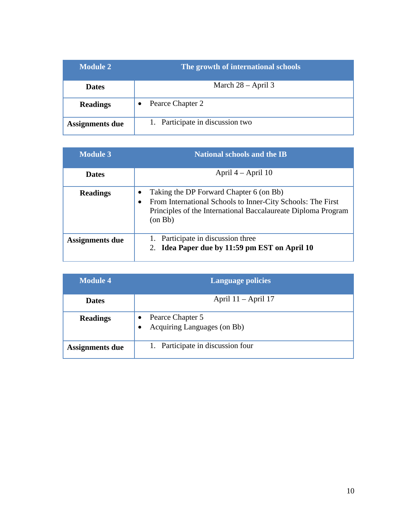| <b>Module 2</b>        | The growth of international schools |
|------------------------|-------------------------------------|
| <b>Dates</b>           | March $28 - April 3$                |
| <b>Readings</b>        | Pearce Chapter 2<br>$\bullet$       |
| <b>Assignments due</b> | 1. Participate in discussion two    |

| <b>Module 3</b>        | <b>National schools and the IB</b>                                                                                                                                                       |
|------------------------|------------------------------------------------------------------------------------------------------------------------------------------------------------------------------------------|
| <b>Dates</b>           | April $4 -$ April 10                                                                                                                                                                     |
| <b>Readings</b>        | Taking the DP Forward Chapter 6 (on Bb)<br>From International Schools to Inner-City Schools: The First<br>Principles of the International Baccalaureate Diploma Program<br>$($ on Bb $)$ |
| <b>Assignments due</b> | 1. Participate in discussion three<br>Idea Paper due by 11:59 pm EST on April 10                                                                                                         |

| <b>Module 4</b> | <b>Language policies</b>                        |
|-----------------|-------------------------------------------------|
| <b>Dates</b>    | April $11 -$ April 17                           |
| <b>Readings</b> | Pearce Chapter 5<br>Acquiring Languages (on Bb) |
| Assignments due | 1. Participate in discussion four               |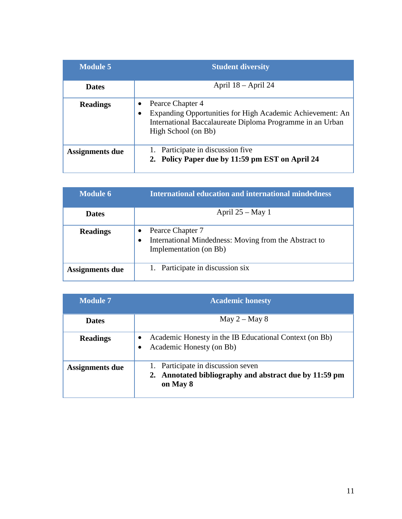| <b>Module 5</b> | <b>Student diversity</b>                                                                                                                                               |
|-----------------|------------------------------------------------------------------------------------------------------------------------------------------------------------------------|
| <b>Dates</b>    | April $18 -$ April 24                                                                                                                                                  |
| <b>Readings</b> | Pearce Chapter 4<br>Expanding Opportunities for High Academic Achievement: An<br>٠<br>International Baccalaureate Diploma Programme in an Urban<br>High School (on Bb) |
| Assignments due | Participate in discussion five<br>2. Policy Paper due by 11:59 pm EST on April 24                                                                                      |

| <b>Module 6</b> | <b>International education and international mindedness</b>                                                      |
|-----------------|------------------------------------------------------------------------------------------------------------------|
| <b>Dates</b>    | April $25 - May 1$                                                                                               |
| <b>Readings</b> | Pearce Chapter 7<br>International Mindedness: Moving from the Abstract to<br>$\bullet$<br>Implementation (on Bb) |
| Assignments due | 1. Participate in discussion six                                                                                 |

| <b>Module 7</b> | <b>Academic honesty</b>                                                                            |  |
|-----------------|----------------------------------------------------------------------------------------------------|--|
| <b>Dates</b>    | May $2 -$ May $8$                                                                                  |  |
| <b>Readings</b> | Academic Honesty in the IB Educational Context (on Bb)<br>Academic Honesty (on Bb)                 |  |
| Assignments due | Participate in discussion seven<br>Annotated bibliography and abstract due by 11:59 pm<br>on May 8 |  |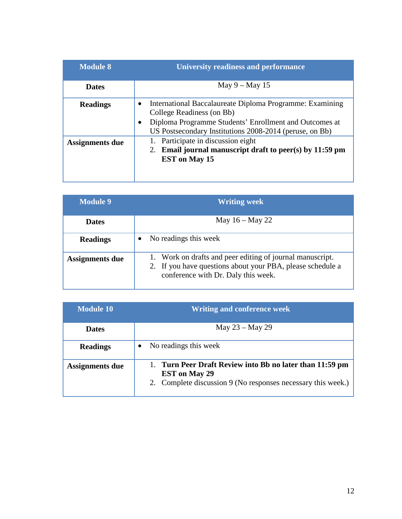| <b>Module 8</b>        | <b>University readiness and performance</b>                                                                                                                                                                |
|------------------------|------------------------------------------------------------------------------------------------------------------------------------------------------------------------------------------------------------|
| <b>Dates</b>           | May $9 -$ May 15                                                                                                                                                                                           |
| <b>Readings</b>        | International Baccalaureate Diploma Programme: Examining<br>College Readiness (on Bb)<br>Diploma Programme Students' Enrollment and Outcomes at<br>US Postsecondary Institutions 2008-2014 (peruse, on Bb) |
| <b>Assignments due</b> | 1. Participate in discussion eight<br>2. Email journal manuscript draft to peer(s) by $11:59$ pm<br><b>EST</b> on May 15                                                                                   |

| <b>Module 9</b>        | <b>Writing week</b>                                                                                                                                            |
|------------------------|----------------------------------------------------------------------------------------------------------------------------------------------------------------|
| <b>Dates</b>           | May $16 -$ May 22                                                                                                                                              |
| <b>Readings</b>        | No readings this week                                                                                                                                          |
| <b>Assignments due</b> | 1. Work on drafts and peer editing of journal manuscript.<br>2. If you have questions about your PBA, please schedule a<br>conference with Dr. Daly this week. |

| <b>Module 10</b> | <b>Writing and conference week</b>                                                                                                               |  |  |  |
|------------------|--------------------------------------------------------------------------------------------------------------------------------------------------|--|--|--|
| <b>Dates</b>     | May 23 – May 29                                                                                                                                  |  |  |  |
| <b>Readings</b>  | No readings this week                                                                                                                            |  |  |  |
| Assignments due  | 1. Turn Peer Draft Review into Bb no later than 11:59 pm<br><b>EST</b> on May 29<br>2. Complete discussion 9 (No responses necessary this week.) |  |  |  |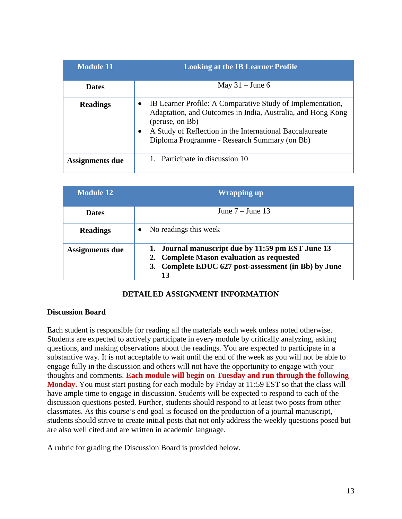| <b>Module 11</b> | <b>Looking at the IB Learner Profile</b>                                                                                                                                                                                                                              |
|------------------|-----------------------------------------------------------------------------------------------------------------------------------------------------------------------------------------------------------------------------------------------------------------------|
| <b>Dates</b>     | May $31 -$ June 6                                                                                                                                                                                                                                                     |
| <b>Readings</b>  | IB Learner Profile: A Comparative Study of Implementation,<br>Adaptation, and Outcomes in India, Australia, and Hong Kong<br>(peruse, on Bb)<br>A Study of Reflection in the International Baccalaureate<br>$\bullet$<br>Diploma Programme - Research Summary (on Bb) |
| Assignments due  | 1. Participate in discussion 10                                                                                                                                                                                                                                       |

| <b>Module 12</b>       | <b>Wrapping up</b>                                                                                                                                           |  |  |  |
|------------------------|--------------------------------------------------------------------------------------------------------------------------------------------------------------|--|--|--|
| <b>Dates</b>           | June $7 -$ June 13                                                                                                                                           |  |  |  |
| <b>Readings</b>        | No readings this week                                                                                                                                        |  |  |  |
| <b>Assignments due</b> | 1. Journal manuscript due by 11:59 pm EST June 13<br>2. Complete Mason evaluation as requested<br>3. Complete EDUC 627 post-assessment (in Bb) by June<br>13 |  |  |  |

## **DETAILED ASSIGNMENT INFORMATION**

#### **Discussion Board**

Each student is responsible for reading all the materials each week unless noted otherwise. Students are expected to actively participate in every module by critically analyzing, asking questions, and making observations about the readings. You are expected to participate in a substantive way. It is not acceptable to wait until the end of the week as you will not be able to engage fully in the discussion and others will not have the opportunity to engage with your thoughts and comments. **Each module will begin on Tuesday and run through the following Monday.** You must start posting for each module by Friday at 11:59 EST so that the class will have ample time to engage in discussion. Students will be expected to respond to each of the discussion questions posted. Further, students should respond to at least two posts from other classmates. As this course's end goal is focused on the production of a journal manuscript, students should strive to create initial posts that not only address the weekly questions posed but are also well cited and are written in academic language.

A rubric for grading the Discussion Board is provided below.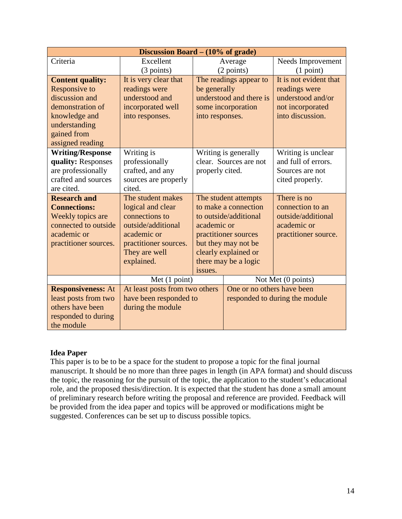|                           | Discussion Board $- (10\% \text{ of grade})$ |                       |                            |                                |  |  |
|---------------------------|----------------------------------------------|-----------------------|----------------------------|--------------------------------|--|--|
| Criteria                  | Excellent                                    |                       | Average                    | Needs Improvement              |  |  |
|                           | (3 points)                                   |                       | (2 points)                 | (1 point)                      |  |  |
| <b>Content quality:</b>   | It is very clear that                        |                       | The readings appear to     | It is not evident that         |  |  |
| Responsive to             | readings were                                | be generally          |                            | readings were                  |  |  |
| discussion and            | understood and                               |                       | understood and there is    | understood and/or              |  |  |
| demonstration of          | incorporated well                            |                       | some incorporation         | not incorporated               |  |  |
| knowledge and             | into responses.                              | into responses.       |                            | into discussion.               |  |  |
| understanding             |                                              |                       |                            |                                |  |  |
| gained from               |                                              |                       |                            |                                |  |  |
| assigned reading          |                                              |                       |                            |                                |  |  |
| <b>Writing/Response</b>   | Writing is                                   |                       | Writing is generally       | Writing is unclear             |  |  |
| quality: Responses        | professionally                               |                       | clear. Sources are not     | and full of errors.            |  |  |
| are professionally        | crafted, and any                             | properly cited.       |                            | Sources are not                |  |  |
| crafted and sources       | sources are properly                         |                       |                            | cited properly.                |  |  |
| are cited.                | cited.                                       |                       |                            |                                |  |  |
| <b>Research and</b>       | The student makes                            | The student attempts  |                            | There is no                    |  |  |
| <b>Connections:</b>       | logical and clear                            |                       | to make a connection       | connection to an               |  |  |
| Weekly topics are         | connections to                               | to outside/additional |                            | outside/additional             |  |  |
| connected to outside      | outside/additional                           | academic or           |                            | academic or                    |  |  |
| academic or               | academic or                                  |                       | practitioner sources       | practitioner source.           |  |  |
| practitioner sources.     | practitioner sources.                        |                       | but they may not be        |                                |  |  |
|                           | They are well                                |                       | clearly explained or       |                                |  |  |
|                           | explained.                                   |                       | there may be a logic       |                                |  |  |
|                           |                                              | issues.               |                            |                                |  |  |
|                           | Met (1 point)                                |                       | Not Met (0 points)         |                                |  |  |
| <b>Responsiveness: At</b> | At least posts from two others               |                       | One or no others have been |                                |  |  |
| least posts from two      | have been responded to                       |                       |                            | responded to during the module |  |  |
| others have been          | during the module                            |                       |                            |                                |  |  |
| responded to during       |                                              |                       |                            |                                |  |  |
| the module                |                                              |                       |                            |                                |  |  |

## **Idea Paper**

This paper is to be to be a space for the student to propose a topic for the final journal manuscript. It should be no more than three pages in length (in APA format) and should discuss the topic, the reasoning for the pursuit of the topic, the application to the student's educational role, and the proposed thesis/direction. It is expected that the student has done a small amount of preliminary research before writing the proposal and reference are provided. Feedback will be provided from the idea paper and topics will be approved or modifications might be suggested. Conferences can be set up to discuss possible topics.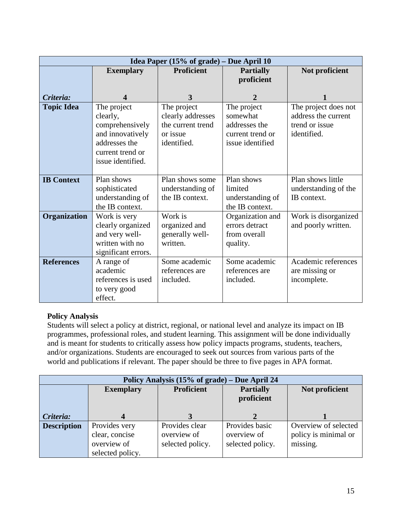|                   |                                                                                                                          | Idea Paper $(15\% \text{ of grade}) - \text{Due April } 10$                      |                                                                                  |                                                                              |
|-------------------|--------------------------------------------------------------------------------------------------------------------------|----------------------------------------------------------------------------------|----------------------------------------------------------------------------------|------------------------------------------------------------------------------|
|                   | <b>Exemplary</b>                                                                                                         | <b>Proficient</b>                                                                | <b>Partially</b><br>proficient                                                   | Not proficient                                                               |
| Criteria:         |                                                                                                                          | 3                                                                                | 2                                                                                |                                                                              |
| <b>Topic Idea</b> | The project<br>clearly,<br>comprehensively<br>and innovatively<br>addresses the<br>current trend or<br>issue identified. | The project<br>clearly addresses<br>the current trend<br>or issue<br>identified. | The project<br>somewhat<br>addresses the<br>current trend or<br>issue identified | The project does not<br>address the current<br>trend or issue<br>identified. |
| <b>IB</b> Context | Plan shows<br>sophisticated<br>understanding of<br>the IB context.                                                       | Plan shows some<br>understanding of<br>the IB context.                           | Plan shows<br>limited<br>understanding of<br>the IB context.                     | Plan shows little<br>understanding of the<br>IB context.                     |
| Organization      | Work is very<br>clearly organized<br>and very well-<br>written with no<br>significant errors.                            | Work is<br>organized and<br>generally well-<br>written.                          | Organization and<br>errors detract<br>from overall<br>quality.                   | Work is disorganized<br>and poorly written.                                  |
| <b>References</b> | A range of<br>academic<br>references is used<br>to very good<br>effect.                                                  | Some academic<br>references are<br>included.                                     | Some academic<br>references are<br>included.                                     | Academic references<br>are missing or<br>incomplete.                         |

# **Policy Analysis**

Students will select a policy at district, regional, or national level and analyze its impact on IB programmes, professional roles, and student learning. This assignment will be done individually and is meant for students to critically assess how policy impacts programs, students, teachers, and/or organizations. Students are encouraged to seek out sources from various parts of the world and publications if relevant. The paper should be three to five pages in APA format.

| Policy Analysis (15% of grade) – Due April 24 |                                                                    |                                                   |                                                   |                                                          |
|-----------------------------------------------|--------------------------------------------------------------------|---------------------------------------------------|---------------------------------------------------|----------------------------------------------------------|
|                                               | <b>Exemplary</b>                                                   | Proficient                                        | <b>Partially</b><br>proficient                    | Not proficient                                           |
| Criteria:                                     |                                                                    |                                                   |                                                   |                                                          |
| <b>Description</b>                            | Provides very<br>clear, concise<br>overview of<br>selected policy. | Provides clear<br>overview of<br>selected policy. | Provides basic<br>overview of<br>selected policy. | Overview of selected<br>policy is minimal or<br>missing. |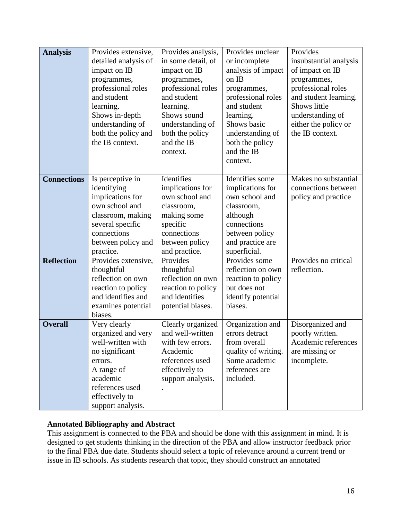| <b>Analysis</b>    | Provides extensive,<br>detailed analysis of<br>impact on IB<br>programmes,<br>professional roles<br>and student<br>learning.<br>Shows in-depth<br>understanding of       | Provides analysis,<br>in some detail, of<br>impact on IB<br>programmes,<br>professional roles<br>and student<br>learning.<br>Shows sound<br>understanding of | Provides unclear<br>or incomplete<br>analysis of impact<br>on IB<br>programmes,<br>professional roles<br>and student<br>learning.<br>Shows basic     | Provides<br>insubstantial analysis<br>of impact on IB<br>programmes,<br>professional roles<br>and student learning.<br>Shows little<br>understanding of<br>either the policy or |
|--------------------|--------------------------------------------------------------------------------------------------------------------------------------------------------------------------|--------------------------------------------------------------------------------------------------------------------------------------------------------------|------------------------------------------------------------------------------------------------------------------------------------------------------|---------------------------------------------------------------------------------------------------------------------------------------------------------------------------------|
|                    | both the policy and<br>the IB context.                                                                                                                                   | both the policy<br>and the IB<br>context.                                                                                                                    | understanding of<br>both the policy<br>and the IB<br>context.                                                                                        | the IB context.                                                                                                                                                                 |
| <b>Connections</b> | Is perceptive in<br>identifying<br>implications for<br>own school and<br>classroom, making<br>several specific<br>connections<br>between policy and<br>practice.         | Identifies<br>implications for<br>own school and<br>classroom,<br>making some<br>specific<br>connections<br>between policy<br>and practice.                  | Identifies some<br>implications for<br>own school and<br>classroom,<br>although<br>connections<br>between policy<br>and practice are<br>superficial. | Makes no substantial<br>connections between<br>policy and practice                                                                                                              |
| <b>Reflection</b>  | Provides extensive,<br>thoughtful<br>reflection on own<br>reaction to policy<br>and identifies and<br>examines potential<br>biases.                                      | Provides<br>thoughtful<br>reflection on own<br>reaction to policy<br>and identifies<br>potential biases.                                                     | Provides some<br>reflection on own<br>reaction to policy<br>but does not<br>identify potential<br>biases.                                            | Provides no critical<br>reflection.                                                                                                                                             |
| <b>Overall</b>     | Very clearly<br>organized and very<br>well-written with<br>no significant<br>errors.<br>A range of<br>academic<br>references used<br>effectively to<br>support analysis. | Clearly organized<br>and well-written<br>with few errors.<br>Academic<br>references used<br>effectively to<br>support analysis.                              | Organization and<br>errors detract<br>from overall<br>quality of writing.<br>Some academic<br>references are<br>included.                            | Disorganized and<br>poorly written.<br>Academic references<br>are missing or<br>incomplete.                                                                                     |

# **Annotated Bibliography and Abstract**

This assignment is connected to the PBA and should be done with this assignment in mind. It is designed to get students thinking in the direction of the PBA and allow instructor feedback prior to the final PBA due date. Students should select a topic of relevance around a current trend or issue in IB schools. As students research that topic, they should construct an annotated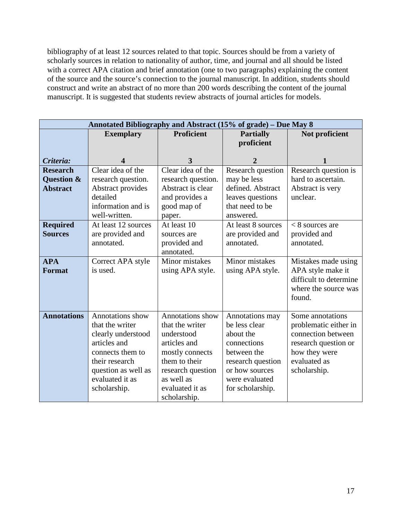bibliography of at least 12 sources related to that topic. Sources should be from a variety of scholarly sources in relation to nationality of author, time, and journal and all should be listed with a correct APA citation and brief annotation (one to two paragraphs) explaining the content of the source and the source's connection to the journal manuscript. In addition, students should construct and write an abstract of no more than 200 words describing the content of the journal manuscript. It is suggested that students review abstracts of journal articles for models.

|                                                  | Annotated Bibliography and Abstract (15% of grade) - Due May 8                                                                                                            |                                                                                                                                                                             |                                                                                                                                                          |                                                                                                                                          |
|--------------------------------------------------|---------------------------------------------------------------------------------------------------------------------------------------------------------------------------|-----------------------------------------------------------------------------------------------------------------------------------------------------------------------------|----------------------------------------------------------------------------------------------------------------------------------------------------------|------------------------------------------------------------------------------------------------------------------------------------------|
|                                                  | <b>Exemplary</b>                                                                                                                                                          | <b>Proficient</b>                                                                                                                                                           | <b>Partially</b>                                                                                                                                         | Not proficient                                                                                                                           |
|                                                  |                                                                                                                                                                           |                                                                                                                                                                             | proficient                                                                                                                                               |                                                                                                                                          |
| Criteria:                                        | 4                                                                                                                                                                         | 3                                                                                                                                                                           | $\overline{2}$                                                                                                                                           |                                                                                                                                          |
| <b>Research</b><br>Question &<br><b>Abstract</b> | Clear idea of the<br>research question.<br>Abstract provides<br>detailed<br>information and is<br>well-written.                                                           | Clear idea of the<br>research question.<br>Abstract is clear<br>and provides a<br>good map of<br>paper.                                                                     | Research question<br>may be less<br>defined. Abstract<br>leaves questions<br>that need to be<br>answered.                                                | Research question is<br>hard to ascertain.<br>Abstract is very<br>unclear.                                                               |
| <b>Required</b><br><b>Sources</b>                | At least 12 sources<br>are provided and<br>annotated.                                                                                                                     | At least 10<br>sources are<br>provided and<br>annotated.                                                                                                                    | At least 8 sources<br>are provided and<br>annotated.                                                                                                     | $< 8$ sources are<br>provided and<br>annotated.                                                                                          |
| <b>APA</b><br><b>Format</b>                      | Correct APA style<br>is used.                                                                                                                                             | Minor mistakes<br>using APA style.                                                                                                                                          | Minor mistakes<br>using APA style.                                                                                                                       | Mistakes made using<br>APA style make it<br>difficult to determine<br>where the source was<br>found.                                     |
| <b>Annotations</b>                               | Annotations show<br>that the writer<br>clearly understood<br>articles and<br>connects them to<br>their research<br>question as well as<br>evaluated it as<br>scholarship. | Annotations show<br>that the writer<br>understood<br>articles and<br>mostly connects<br>them to their<br>research question<br>as well as<br>evaluated it as<br>scholarship. | Annotations may<br>be less clear<br>about the<br>connections<br>between the<br>research question<br>or how sources<br>were evaluated<br>for scholarship. | Some annotations<br>problematic either in<br>connection between<br>research question or<br>how they were<br>evaluated as<br>scholarship. |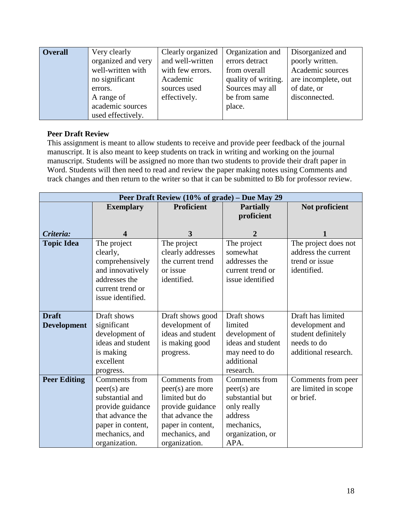| <b>Overall</b> | Very clearly       | Clearly organized | <b>Organization</b> and | Disorganized and    |
|----------------|--------------------|-------------------|-------------------------|---------------------|
|                | organized and very | and well-written  | errors detract          | poorly written.     |
|                | well-written with  | with few errors.  | from overall            | Academic sources    |
|                | no significant     | Academic          | quality of writing.     | are incomplete, out |
|                | errors.            | sources used      | Sources may all         | of date, or         |
|                | A range of         | effectively.      | be from same            | disconnected.       |
|                | academic sources   |                   | place.                  |                     |
|                | used effectively.  |                   |                         |                     |

## **Peer Draft Review**

This assignment is meant to allow students to receive and provide peer feedback of the journal manuscript. It is also meant to keep students on track in writing and working on the journal manuscript. Students will be assigned no more than two students to provide their draft paper in Word. Students will then need to read and review the paper making notes using Comments and track changes and then return to the writer so that it can be submitted to Bb for professor review.

| Peer Draft Review (10% of grade) - Due May 29 |                   |                   |                   |                      |
|-----------------------------------------------|-------------------|-------------------|-------------------|----------------------|
|                                               | <b>Exemplary</b>  | <b>Proficient</b> | <b>Partially</b>  | Not proficient       |
|                                               |                   |                   | proficient        |                      |
|                                               |                   |                   |                   |                      |
| Criteria:                                     | 4                 | 3                 | 2                 |                      |
| <b>Topic Idea</b>                             | The project       | The project       | The project       | The project does not |
|                                               | clearly,          | clearly addresses | somewhat          | address the current  |
|                                               | comprehensively   | the current trend | addresses the     | trend or issue       |
|                                               | and innovatively  | or issue          | current trend or  | identified.          |
|                                               | addresses the     | identified.       | issue identified  |                      |
|                                               | current trend or  |                   |                   |                      |
|                                               | issue identified. |                   |                   |                      |
|                                               |                   |                   |                   |                      |
| <b>Draft</b>                                  | Draft shows       | Draft shows good  | Draft shows       | Draft has limited    |
| <b>Development</b>                            | significant       | development of    | limited           | development and      |
|                                               | development of    | ideas and student | development of    | student definitely   |
|                                               | ideas and student | is making good    | ideas and student | needs to do          |
|                                               | is making         | progress.         | may need to do    | additional research. |
|                                               | excellent         |                   | additional        |                      |
|                                               | progress.         |                   | research.         |                      |
| <b>Peer Editing</b>                           | Comments from     | Comments from     | Comments from     | Comments from peer   |
|                                               | $peer(s)$ are     | peer(s) are more  | $peer(s)$ are     | are limited in scope |
|                                               | substantial and   | limited but do    | substantial but   | or brief.            |
|                                               | provide guidance  | provide guidance  | only really       |                      |
|                                               | that advance the  | that advance the  | address           |                      |
|                                               | paper in content, | paper in content, | mechanics,        |                      |
|                                               | mechanics, and    | mechanics, and    | organization, or  |                      |
|                                               | organization.     | organization.     | APA.              |                      |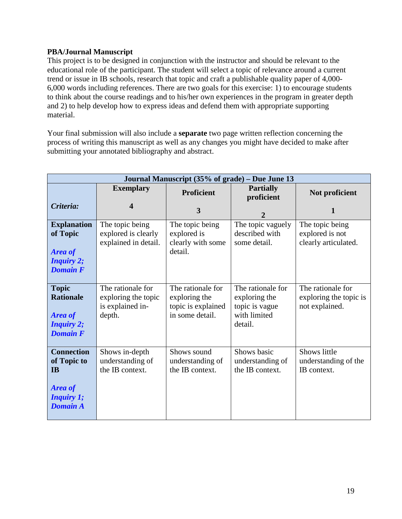## **PBA/Journal Manuscript**

This project is to be designed in conjunction with the instructor and should be relevant to the educational role of the participant. The student will select a topic of relevance around a current trend or issue in IB schools, research that topic and craft a publishable quality paper of 4,000- 6,000 words including references. There are two goals for this exercise: 1) to encourage students to think about the course readings and to his/her own experiences in the program in greater depth and 2) to help develop how to express ideas and defend them with appropriate supporting material.

Your final submission will also include a **separate** two page written reflection concerning the process of writing this manuscript as well as any changes you might have decided to make after submitting your annotated bibliography and abstract.

| Journal Manuscript (35% of grade) – Due June 13                                                         |                                                                        |                                                                             |                                                                                 |                                                               |
|---------------------------------------------------------------------------------------------------------|------------------------------------------------------------------------|-----------------------------------------------------------------------------|---------------------------------------------------------------------------------|---------------------------------------------------------------|
|                                                                                                         | <b>Exemplary</b>                                                       | <b>Proficient</b>                                                           | <b>Partially</b><br>proficient                                                  | Not proficient                                                |
| Criteria:                                                                                               | 4                                                                      | 3                                                                           | $\overline{2}$                                                                  |                                                               |
| <b>Explanation</b><br>of Topic<br><b>Area of</b><br><b>Inquiry 2;</b><br><b>Domain F</b>                | The topic being<br>explored is clearly<br>explained in detail.         | The topic being<br>explored is<br>clearly with some<br>detail.              | The topic vaguely<br>described with<br>some detail.                             | The topic being<br>explored is not<br>clearly articulated.    |
| <b>Topic</b><br><b>Rationale</b><br><b>Area of</b><br><b>Inquiry 2;</b><br><b>Domain F</b>              | The rationale for<br>exploring the topic<br>is explained in-<br>depth. | The rationale for<br>exploring the<br>topic is explained<br>in some detail. | The rationale for<br>exploring the<br>topic is vague<br>with limited<br>detail. | The rationale for<br>exploring the topic is<br>not explained. |
| <b>Connection</b><br>of Topic to<br><b>IB</b><br><b>Area of</b><br><b>Inquiry 1;</b><br><b>Domain A</b> | Shows in-depth<br>understanding of<br>the IB context.                  | Shows sound<br>understanding of<br>the IB context.                          | Shows basic<br>understanding of<br>the IB context.                              | Shows little<br>understanding of the<br>IB context.           |